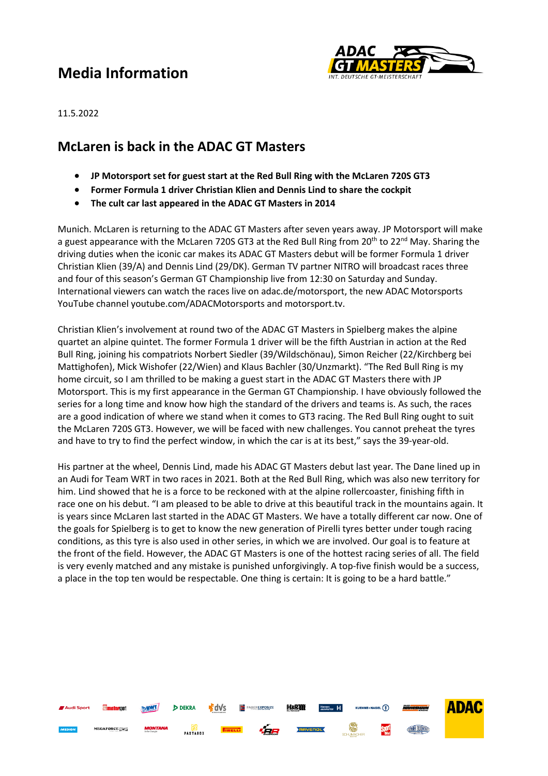# **Media Information**



ADAC

**TWN BUSCA** 

**Sport** 

11.5.2022

### **McLaren is back in the ADAC GT Masters**

**DEKRA** 

**PASTABOX** 

嗜d√s

- **JP Motorsport set for guest start at the Red Bull Ring with the McLaren 720S GT3**
- **Former Formula 1 driver Christian Klien and Dennis Lind to share the cockpit**
- **The cult car last appeared in the ADAC GT Masters in 2014**

Munich. McLaren is returning to the ADAC GT Masters after seven years away. JP Motorsport will make a guest appearance with the McLaren 720S GT3 at the Red Bull Ring from 20<sup>th</sup> to 22<sup>nd</sup> May. Sharing the driving duties when the iconic car makes its ADAC GT Masters debut will be former Formula 1 driver Christian Klien (39/A) and Dennis Lind (29/DK). German TV partner NITRO will broadcast races three and four of this season's German GT Championship live from 12:30 on Saturday and Sunday. International viewers can watch the races live on adac.de/motorsport, the new ADAC Motorsports YouTube channel youtube.com/ADACMotorsports and motorsport.tv.

Christian Klien's involvement at round two of the ADAC GT Masters in Spielberg makes the alpine quartet an alpine quintet. The former Formula 1 driver will be the fifth Austrian in action at the Red Bull Ring, joining his compatriots Norbert Siedler (39/Wildschönau), Simon Reicher (22/Kirchberg bei Mattighofen), Mick Wishofer (22/Wien) and Klaus Bachler (30/Unzmarkt). "The Red Bull Ring is my home circuit, so I am thrilled to be making a guest start in the ADAC GT Masters there with JP Motorsport. This is my first appearance in the German GT Championship. I have obviously followed the series for a long time and know how high the standard of the drivers and teams is. As such, the races are a good indication of where we stand when it comes to GT3 racing. The Red Bull Ring ought to suit the McLaren 720S GT3. However, we will be faced with new challenges. You cannot preheat the tyres and have to try to find the perfect window, in which the car is at its best," says the 39-year-old.

His partner at the wheel, Dennis Lind, made his ADAC GT Masters debut last year. The Dane lined up in an Audi for Team WRT in two races in 2021. Both at the Red Bull Ring, which was also new territory for him. Lind showed that he is a force to be reckoned with at the alpine rollercoaster, finishing fifth in race one on his debut. "I am pleased to be able to drive at this beautiful track in the mountains again. It is years since McLaren last started in the ADAC GT Masters. We have a totally different car now. One of the goals for Spielberg is to get to know the new generation of Pirelli tyres better under tough racing conditions, as this tyre is also used in other series, in which we are involved. Our goal is to feature at the front of the field. However, the ADAC GT Masters is one of the hottest racing series of all. The field is very evenly matched and any mistake is punished unforgivingly. A top-five finish would be a success, a place in the top ten would be respectable. One thing is certain: It is going to be a hard battle."

**HaRRI** 

 $\sqrt{2}$